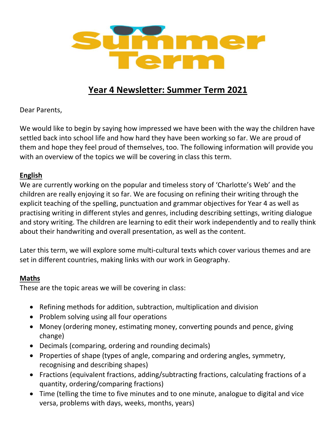

# **Year 4 Newsletter: Summer Term 2021**

Dear Parents,

We would like to begin by saying how impressed we have been with the way the children have settled back into school life and how hard they have been working so far. We are proud of them and hope they feel proud of themselves, too. The following information will provide you with an overview of the topics we will be covering in class this term.

# **English**

We are currently working on the popular and timeless story of 'Charlotte's Web' and the children are really enjoying it so far. We are focusing on refining their writing through the explicit teaching of the spelling, punctuation and grammar objectives for Year 4 as well as practising writing in different styles and genres, including describing settings, writing dialogue and story writing. The children are learning to edit their work independently and to really think about their handwriting and overall presentation, as well as the content.

Later this term, we will explore some multi-cultural texts which cover various themes and are set in different countries, making links with our work in Geography.

# **Maths**

These are the topic areas we will be covering in class:

- Refining methods for addition, subtraction, multiplication and division
- Problem solving using all four operations
- Money (ordering money, estimating money, converting pounds and pence, giving change)
- Decimals (comparing, ordering and rounding decimals)
- Properties of shape (types of angle, comparing and ordering angles, symmetry, recognising and describing shapes)
- Fractions (equivalent fractions, adding/subtracting fractions, calculating fractions of a quantity, ordering/comparing fractions)
- Time (telling the time to five minutes and to one minute, analogue to digital and vice versa, problems with days, weeks, months, years)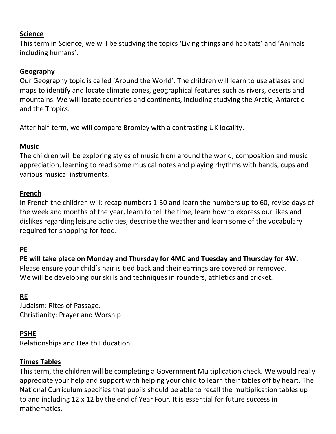### **Science**

This term in Science, we will be studying the topics 'Living things and habitats' and 'Animals including humans'.

### **Geography**

Our Geography topic is called 'Around the World'. The children will learn to use atlases and maps to identify and locate climate zones, geographical features such as rivers, deserts and mountains. We will locate countries and continents, including studying the Arctic, Antarctic and the Tropics.

After half-term, we will compare Bromley with a contrasting UK locality.

### **Music**

The children will be exploring styles of music from around the world, composition and music appreciation, learning to read some musical notes and playing rhythms with hands, cups and various musical instruments.

### **French**

In French the children will: recap numbers 1-30 and learn the numbers up to 60, revise days of the week and months of the year, learn to tell the time, learn how to express our likes and dislikes regarding leisure activities, describe the weather and learn some of the vocabulary required for shopping for food.

# **PE**

# **PE will take place on Monday and Thursday for 4MC and Tuesday and Thursday for 4W.**

Please ensure your child's hair is tied back and their earrings are covered or removed. We will be developing our skills and techniques in rounders, athletics and cricket.

### **RE**

Judaism: Rites of Passage. Christianity: Prayer and Worship

### **PSHE**

Relationships and Health Education

### **Times Tables**

This term, the children will be completing a Government Multiplication check. We would really appreciate your help and support with helping your child to learn their tables off by heart. The National Curriculum specifies that pupils should be able to recall the multiplication tables up to and including 12 x 12 by the end of Year Four. It is essential for future success in mathematics.